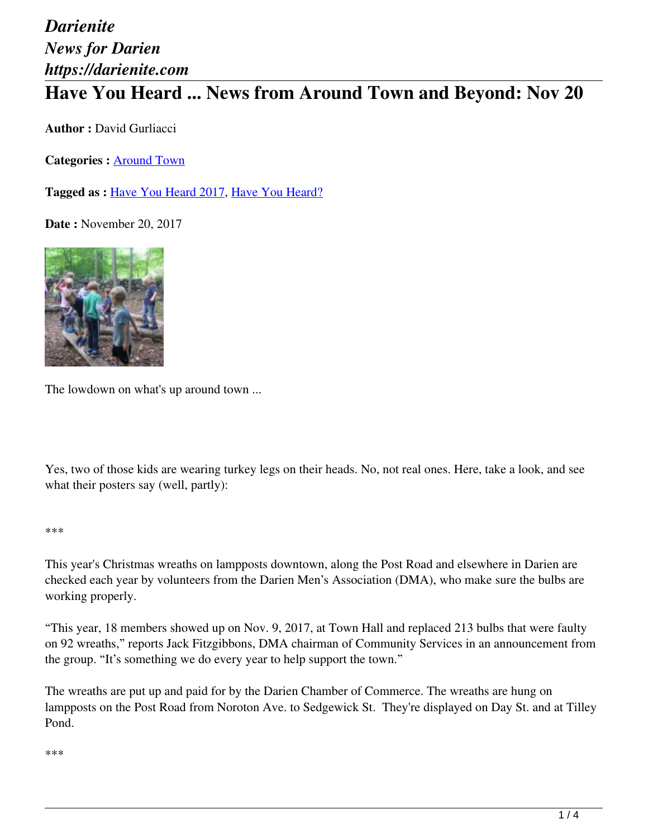# *Darienite News for Darien https://darienite.com* **Have You Heard ... News from Around Town and Beyond: Nov 20**

**Author :** David Gurliacci

**Categories :** [Around Town](https://darienite.com/category/news/around-town)

**Tagged as :** Have You Heard 2017, Have You Heard?

**Date :** November 20, 2017



The lowdown on what's up around town ...

Yes, two of those kids are wearing turkey legs on their heads. No, not real ones. Here, take a look, and see what their posters say (well, partly):

#### \*\*\*

This year's Christmas wreaths on lampposts downtown, along the Post Road and elsewhere in Darien are checked each year by volunteers from the Darien Men's Association (DMA), who make sure the bulbs are working properly.

"This year, 18 members showed up on Nov. 9, 2017, at Town Hall and replaced 213 bulbs that were faulty on 92 wreaths," reports Jack Fitzgibbons, DMA chairman of Community Services in an announcement from the group. "It's something we do every year to help support the town."

The wreaths are put up and paid for by the Darien Chamber of Commerce. The wreaths are hung on lampposts on the Post Road from Noroton Ave. to Sedgewick St. They're displayed on Day St. and at Tilley Pond.

#### \*\*\*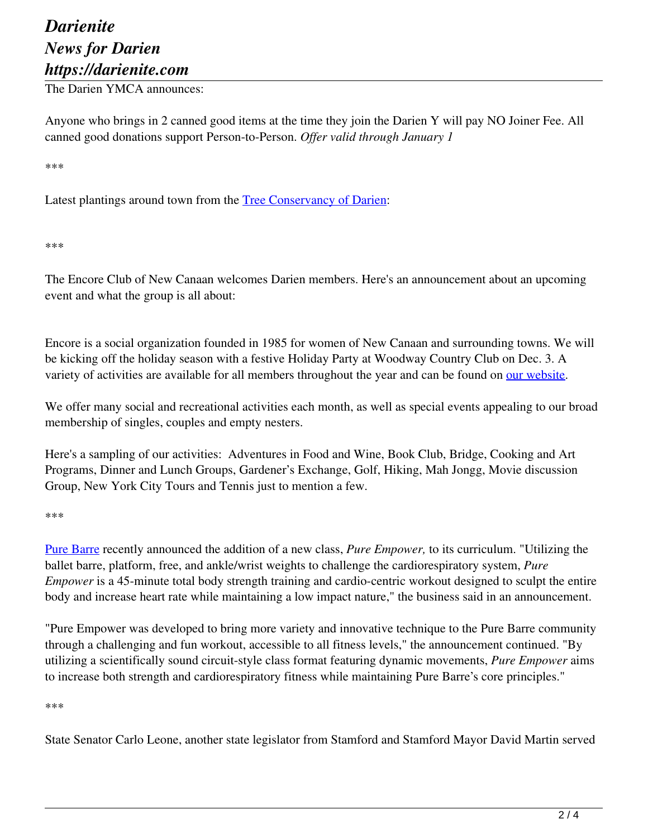## *Darienite News for Darien https://darienite.com*

The Darien YMCA announces:

Anyone who brings in 2 canned good items at the time they join the Darien Y will pay NO Joiner Fee. All canned good donations support Person-to-Person. *Offer valid through January 1*

\*\*\*

Latest plantings around town from the Tree Conservancy of Darien:

\*\*\*

The Encore Club of New Canaan welcomes Darien members. Here's an announcement about an upcoming event and what the group is all about:

Encore is a social organization founded in 1985 for women of New Canaan and surrounding towns. We will be kicking off the holiday season with a festive Holiday Party at Woodway Country Club on Dec. 3. A variety of activities are available for all members throughout the year and can be found on our website.

We offer many social and recreational activities each month, as well as special events appealing to our broad membership of singles, couples and empty nesters.

Here's a sampling of our activities: Adventures in Food and Wine, Book Club, Bridge, Cooking and Art Programs, Dinner and Lunch Groups, Gardener's Exchange, Golf, Hiking, Mah Jongg, Movie discussion Group, New York City Tours and Tennis just to mention a few.

\*\*\*

Pure Barre recently announced the addition of a new class, *Pure Empower,* to its curriculum. "Utilizing the ballet barre, platform, free, and ankle/wrist weights to challenge the cardiorespiratory system, *Pure Empower* is a 45-minute total body strength training and cardio-centric workout designed to sculpt the entire body and increase heart rate while maintaining a low impact nature," the business said in an announcement.

"Pure Empower was developed to bring more variety and innovative technique to the Pure Barre community through a challenging and fun workout, accessible to all fitness levels," the announcement continued. "By utilizing a scientifically sound circuit-style class format featuring dynamic movements, *Pure Empower* aims to increase both strength and cardiorespiratory fitness while maintaining Pure Barre's core principles."

\*\*\*

State Senator Carlo Leone, another state legislator from Stamford and Stamford Mayor David Martin served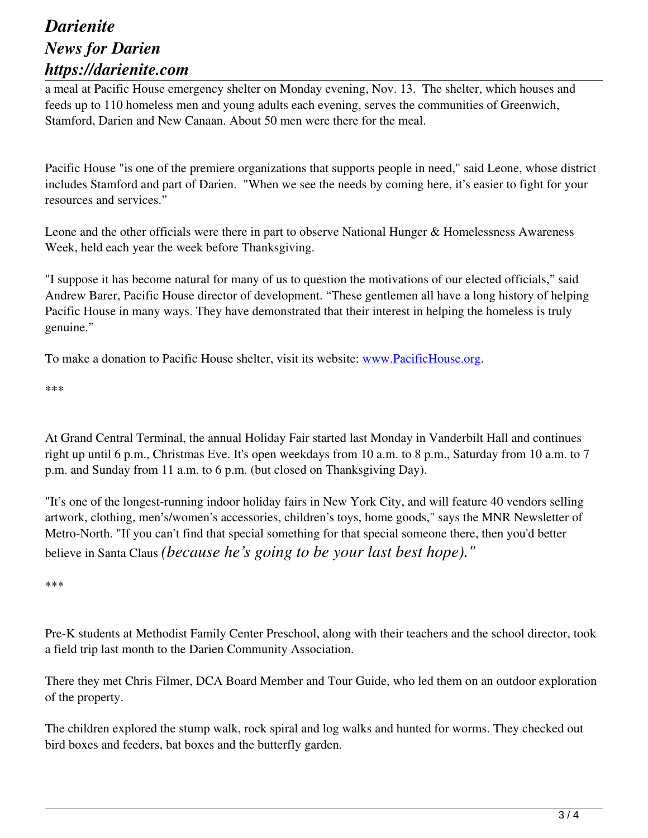### *Darienite News for Darien https://darienite.com*

a meal at Pacific House emergency shelter on Monday evening, Nov. 13. The shelter, which houses and feeds up to 110 homeless men and young adults each evening, serves the communities of Greenwich, Stamford, Darien and New Canaan. About 50 men were there for the meal.

Pacific House "is one of the premiere organizations that supports people in need," said Leone, whose district includes Stamford and part of Darien. "When we see the needs by coming here, it's easier to fight for your resources and services."

Leone and the other officials were there in part to observe National Hunger & Homelessness Awareness Week, held each year the week before Thanksgiving.

"I suppose it has become natural for many of us to question the motivations of our elected officials," said Andrew Barer, Pacific House director of development. "These gentlemen all have a long history of helping Pacific House in many ways. They have demonstrated that their interest in helping the homeless is truly genuine."

To make a donation to Pacific House shelter, visit its website: www.PacificHouse.org.

\*\*\*

At Grand Central Terminal, the annual Holiday Fair started last Monday in Vanderbilt Hall and continues right up until 6 p.m., Christmas Eve. It's open weekdays from 10 a.m. to 8 p.m., Saturday from 10 a.m. to 7 p.m. and Sunday from 11 a.m. to 6 p.m. (but closed on Thanksgiving Day).

"It's one of the longest-running indoor holiday fairs in New York City, and will feature 40 vendors selling artwork, clothing, men's/women's accessories, children's toys, home goods," says the MNR Newsletter of Metro-North. "If you can't find that special something for that special someone there, then you'd better believe in Santa Claus *(because he's going to be your last best hope)."*

\*\*\*

Pre-K students at Methodist Family Center Preschool, along with their teachers and the school director, took a field trip last month to the Darien Community Association.

There they met Chris Filmer, DCA Board Member and Tour Guide, who led them on an outdoor exploration of the property.

The children explored the stump walk, rock spiral and log walks and hunted for worms. They checked out bird boxes and feeders, bat boxes and the butterfly garden.